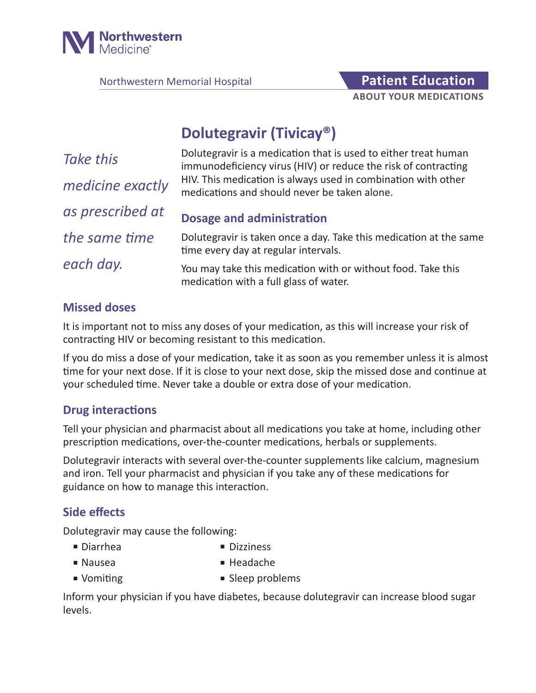

Northwestern Memorial Hospital **Patient Education** 

# **ABOUT YOUR MEDICATIONS**

# **Dolutegravir (Tivicay®)**

| Take this        | Dolutegravir is a medication that is used to either treat human<br>immunodeficiency virus (HIV) or reduce the risk of contracting |
|------------------|-----------------------------------------------------------------------------------------------------------------------------------|
| medicine exactly | HIV. This medication is always used in combination with other<br>medications and should never be taken alone.                     |
| as prescribed at | <b>Dosage and administration</b>                                                                                                  |
| the same time    | Dolutegravir is taken once a day. Take this medication at the same<br>time every day at regular intervals.                        |
| each day.        | You may take this medication with or without food. Take this<br>medication with a full glass of water.                            |

#### **Missed doses**

It is important not to miss any doses of your medication, as this will increase your risk of contracting HIV or becoming resistant to this medication.

If you do miss a dose of your medication, take it as soon as you remember unless it is almost time for your next dose. If it is close to your next dose, skip the missed dose and continue at your scheduled time. Never take a double or extra dose of your medication.

#### **Drug interactions**

Tell your physician and pharmacist about all medications you take at home, including other prescription medications, over-the-counter medications, herbals or supplements.

Dolutegravir interacts with several over-the-counter supplements like calcium, magnesium and iron. Tell your pharmacist and physician if you take any of these medications for guidance on how to manage this interaction.

### **Side effects**

Dolutegravir may cause the following:

- 
- Diarrhea Dizziness
- Nausea  **Headache**
- 
- Vomiting Sleep problems

Inform your physician if you have diabetes, because dolutegravir can increase blood sugar levels.